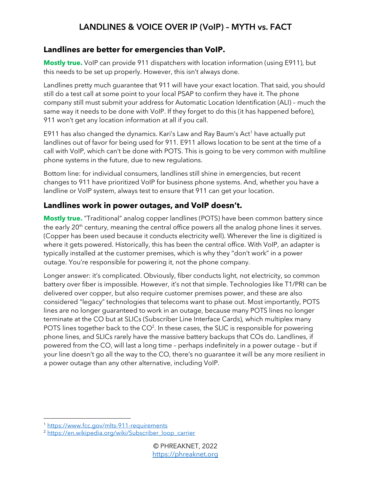## **Landlines are better for emergencies than VoIP.**

**Mostly true.** VoIP can provide 911 dispatchers with location information (using E911), but this needs to be set up properly. However, this isn't always done.

Landlines pretty much guarantee that 911 will have your exact location. That said, you should still do a test call at some point to your local PSAP to confirm they have it. The phone company still must submit your address for Automatic Location Identification (ALI) – much the same way it needs to be done with VoIP. If they forget to do this (it has happened before), 911 won't get any location information at all if you call.

E911 has also changed the dynamics. Kari's Law and Ray Baum's Act<sup>1</sup> have actually put landlines out of favor for being used for 911. E911 allows location to be sent at the time of a call with VoIP, which can't be done with POTS. This is going to be very common with multiline phone systems in the future, due to new regulations.

Bottom line: for individual consumers, landlines still shine in emergencies, but recent changes to 911 have prioritized VoIP for business phone systems. And, whether you have a landline or VoIP system, always test to ensure that 911 can get your location.

## **Landlines work in power outages, and VoIP doesn't.**

**Mostly true.** "Traditional" analog copper landlines (POTS) have been common battery since the early 20<sup>th</sup> century, meaning the central office powers all the analog phone lines it serves. (Copper has been used because it conducts electricity well). Wherever the line is digitized is where it gets powered. Historically, this has been the central office. With VoIP, an adapter is typically installed at the customer premises, which is why they "don't work" in a power outage. You're responsible for powering it, not the phone company.

Longer answer: it's complicated. Obviously, fiber conducts light, not electricity, so common battery over fiber is impossible. However, it's not that simple. Technologies like T1/PRI can be delivered over copper, but also require customer premises power, and these are also considered "legacy" technologies that telecoms want to phase out. Most importantly, POTS lines are no longer guaranteed to work in an outage, because many POTS lines no longer terminate at the CO but at SLICs (Subscriber Line Interface Cards), which multiplex many POTS lines together back to the  $CO<sup>2</sup>$ . In these cases, the SLIC is responsible for powering phone lines, and SLICs rarely have the massive battery backups that COs do. Landlines, if powered from the CO, will last a long time – perhaps indefinitely in a power outage – but if your line doesn't go all the way to the CO, there's no guarantee it will be any more resilient in a power outage than any other alternative, including VoIP.

<sup>1</sup> <https://www.fcc.gov/mlts-911-requirements>

<sup>&</sup>lt;sup>2</sup> [https://en.wikipedia.org/wiki/Subscriber\\_loop\\_carrier](https://en.wikipedia.org/wiki/Subscriber_loop_carrier)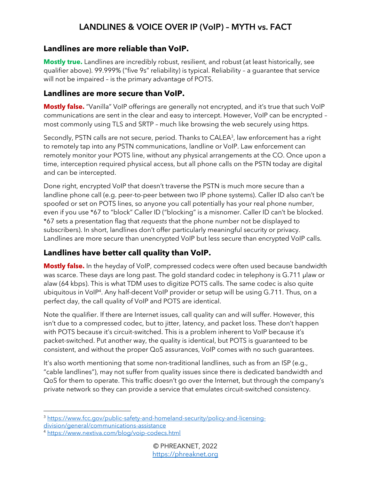#### **Landlines are more reliable than VoIP.**

**Mostly true.** Landlines are incredibly robust, resilient, and robust (at least historically, see qualifier above). 99.999% ("five 9s" reliability) is typical. Reliability – a guarantee that service will not be impaired – is the primary advantage of POTS.

#### **Landlines are more secure than VoIP.**

**Mostly false.** "Vanilla" VoIP offerings are generally not encrypted, and it's true that such VoIP communications are sent in the clear and easy to intercept. However, VoIP can be encrypted – most commonly using TLS and SRTP – much like browsing the web securely using https.

Secondly, PSTN calls are not secure, period. Thanks to CALEA<sup>3</sup>, law enforcement has a right to remotely tap into any PSTN communications, landline or VoIP. Law enforcement can remotely monitor your POTS line, without any physical arrangements at the CO. Once upon a time, interception required physical access, but all phone calls on the PSTN today are digital and can be intercepted.

Done right, encrypted VoIP that doesn't traverse the PSTN is much more secure than a landline phone call (e.g. peer-to-peer between two IP phone systems). Caller ID also can't be spoofed or set on POTS lines, so anyone you call potentially has your real phone number, even if you use \*67 to "block" Caller ID ("blocking" is a misnomer. Caller ID can't be blocked. \*67 sets a presentation flag that *requests* that the phone number not be displayed to subscribers). In short, landlines don't offer particularly meaningful security or privacy. Landlines are more secure than unencrypted VoIP but less secure than encrypted VoIP calls.

# **Landlines have better call quality than VoIP.**

**Mostly false.** In the heyday of VoIP, compressed codecs were often used because bandwidth was scarce. These days are long past. The gold standard codec in telephony is G.711 μlaw or alaw (64 kbps). This is what TDM uses to digitize POTS calls. The same codec is also quite ubiquitous in VoIP<sup>4</sup> . Any half-decent VoIP provider or setup will be using G.711. Thus, on a perfect day, the call quality of VoIP and POTS are identical.

Note the qualifier. If there are Internet issues, call quality can and will suffer. However, this isn't due to a compressed codec, but to jitter, latency, and packet loss. These don't happen with POTS because it's circuit-switched. This is a problem inherent to VoIP because it's packet-switched. Put another way, the quality is identical, but POTS is guaranteed to be consistent, and without the proper QoS assurances, VoIP comes with no such guarantees.

It's also worth mentioning that some non-traditional landlines, such as from an ISP (e.g., "cable landlines"), may not suffer from quality issues since there is dedicated bandwidth and QoS for them to operate. This traffic doesn't go over the Internet, but through the company's private network so they can provide a service that emulates circuit-switched consistency.

<sup>3</sup> [https://www.fcc.gov/public-safety-and-homeland-security/policy-and-licensing](https://www.fcc.gov/public-safety-and-homeland-security/policy-and-licensing-division/general/communications-assistance)[division/general/communications-assistance](https://www.fcc.gov/public-safety-and-homeland-security/policy-and-licensing-division/general/communications-assistance)

<sup>4</sup> <https://www.nextiva.com/blog/voip-codecs.html>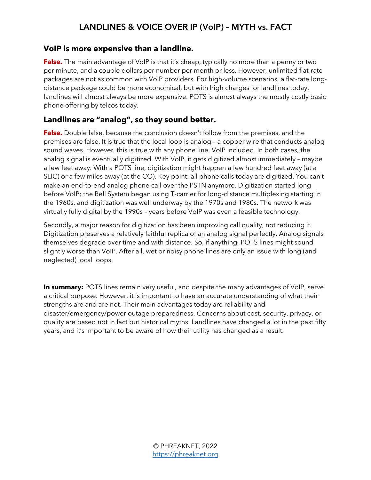#### **VoIP is more expensive than a landline.**

**False.** The main advantage of VoIP is that it's cheap, typically no more than a penny or two per minute, and a couple dollars per number per month or less. However, unlimited flat-rate packages are not as common with VoIP providers. For high-volume scenarios, a flat-rate longdistance package could be more economical, but with high charges for landlines today, landlines will almost always be more expensive. POTS is almost always the mostly costly basic phone offering by telcos today.

## **Landlines are "analog", so they sound better.**

**False.** Double false, because the conclusion doesn't follow from the premises, and the premises are false. It is true that the local loop is analog – a copper wire that conducts analog sound waves. However, this is true with any phone line, VoIP included. In both cases, the analog signal is eventually digitized. With VoIP, it gets digitized almost immediately – maybe a few feet away. With a POTS line, digitization might happen a few hundred feet away (at a SLIC) or a few miles away (at the CO). Key point: all phone calls today are digitized. You can't make an end-to-end analog phone call over the PSTN anymore. Digitization started long before VoIP; the Bell System began using T-carrier for long-distance multiplexing starting in the 1960s, and digitization was well underway by the 1970s and 1980s. The network was virtually fully digital by the 1990s – years before VoIP was even a feasible technology.

Secondly, a major reason for digitization has been improving call quality, not reducing it. Digitization preserves a relatively faithful replica of an analog signal perfectly. Analog signals themselves degrade over time and with distance. So, if anything, POTS lines might sound slightly worse than VoIP. After all, wet or noisy phone lines are only an issue with long (and neglected) local loops.

**In summary:** POTS lines remain very useful, and despite the many advantages of VoIP, serve a critical purpose. However, it is important to have an accurate understanding of what their strengths are and are not. Their main advantages today are reliability and disaster/emergency/power outage preparedness. Concerns about cost, security, privacy, or quality are based not in fact but historical myths. Landlines have changed a lot in the past fifty years, and it's important to be aware of how their utility has changed as a result.